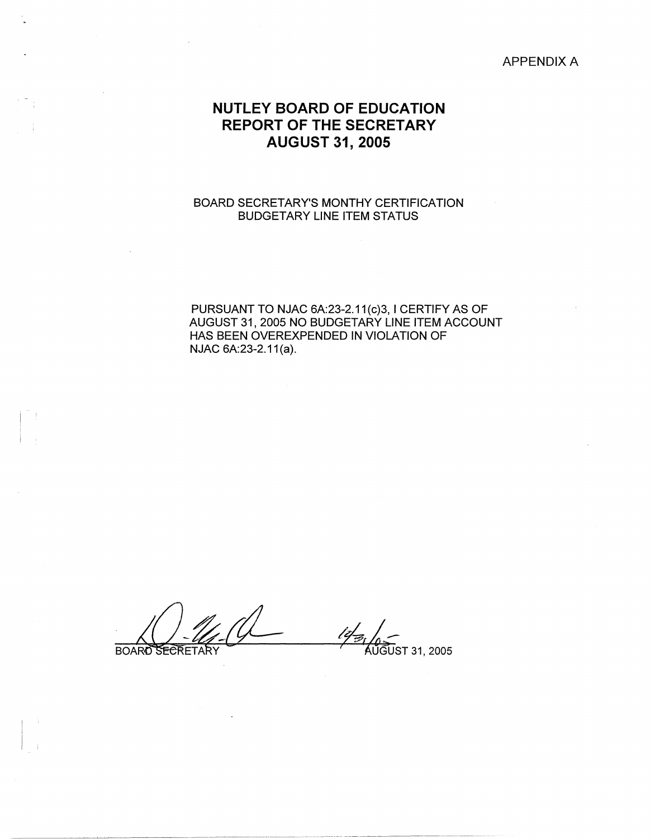## APPENDIX A

## **NUTLEY BOARD OF EDUCATION REPORT OF THE SECRETARY AUGUST 31, 2005**

## BOARD SECRETARY'S MONTHY CERTIFICATION BUDGETARY LINE ITEM STATUS

PURSUANT TO NJAC 6A:23-2.11(c)3, I CERTIFY AS OF AUGUST 31, 2005 NO BUDGETARY LINE ITEM ACCOUNT HAS BEEN OVEREXPENDED IN VIOLATION OF NJAC 6A:23-2.11(a).

**BOARD RECRETARY** 

i I

 $\vert \cdot \vert_1$ 

*/6L-<sup>I</sup>*'tudusr 31, 200s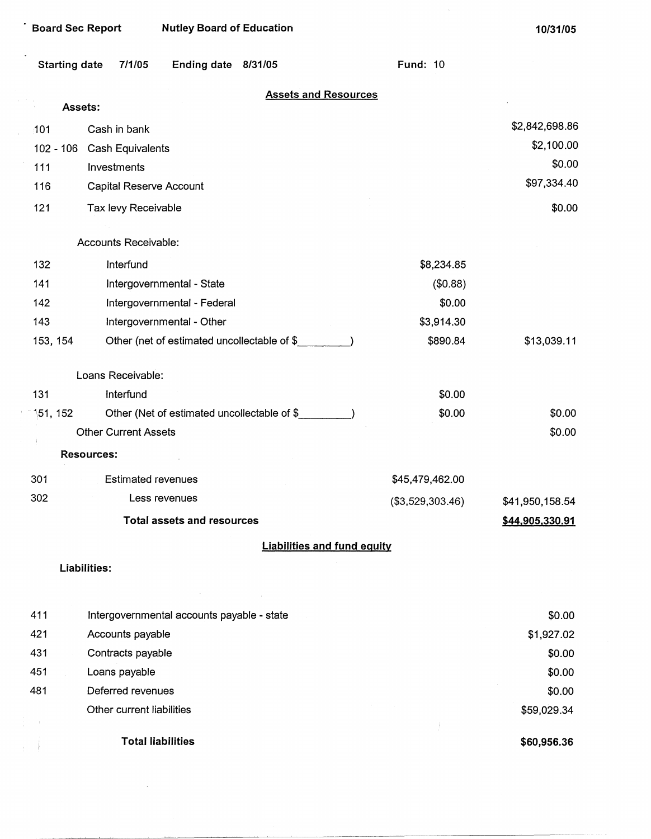| <b>Board Sec Report</b> |                             | <b>Nutley Board of Education</b>             |                                    |                  | 10/31/05        |
|-------------------------|-----------------------------|----------------------------------------------|------------------------------------|------------------|-----------------|
| <b>Starting date</b>    | 7/1/05                      | Ending date 8/31/05                          |                                    | <b>Fund: 10</b>  |                 |
|                         | Assets:                     |                                              | <b>Assets and Resources</b>        |                  |                 |
| 101                     | Cash in bank                |                                              |                                    |                  | \$2,842,698.86  |
| $102 - 106$             | Cash Equivalents            |                                              |                                    |                  | \$2,100.00      |
| 111                     | Investments                 |                                              |                                    |                  | \$0.00          |
| 116                     | Capital Reserve Account     |                                              |                                    |                  | \$97,334.40     |
| 121                     | Tax levy Receivable         |                                              |                                    |                  | \$0.00          |
|                         | Accounts Receivable:        |                                              |                                    |                  |                 |
| 132                     | Interfund                   |                                              |                                    | \$8,234.85       |                 |
| 141                     |                             | Intergovernmental - State                    |                                    | (\$0.88)         |                 |
| 142                     |                             | Intergovernmental - Federal                  |                                    | \$0.00           |                 |
| 143                     |                             | Intergovernmental - Other                    |                                    | \$3,914.30       |                 |
| 153, 154                |                             | Other (net of estimated uncollectable of \$  |                                    | \$890.84         | \$13,039.11     |
|                         | Loans Receivable:           |                                              |                                    |                  |                 |
| 131                     | Interfund                   |                                              |                                    | \$0.00           |                 |
| 151, 152                |                             | Other (Net of estimated uncollectable of \$_ |                                    | \$0.00           | \$0.00          |
|                         | <b>Other Current Assets</b> |                                              |                                    |                  | \$0.00          |
|                         | <b>Resources:</b>           |                                              |                                    |                  |                 |
| 301                     | <b>Estimated revenues</b>   |                                              |                                    | \$45,479,462.00  |                 |
| 302                     |                             | Less revenues                                |                                    | (\$3,529,303.46) | \$41,950,158.54 |
|                         |                             | <b>Total assets and resources</b>            |                                    |                  | \$44,905,330.91 |
|                         |                             |                                              | <b>Liabilities and fund equity</b> |                  |                 |
|                         | Liabilities:                |                                              |                                    |                  |                 |
|                         |                             |                                              |                                    |                  |                 |
| 411                     |                             | Intergovernmental accounts payable - state   |                                    |                  | \$0.00          |

|                               | <b>Total liabilities</b>  | \$60,956.36 |
|-------------------------------|---------------------------|-------------|
| $\frac{1}{2}$ , $\frac{1}{2}$ |                           |             |
|                               | Other current liabilities | \$59,029.34 |
| 481                           | Deferred revenues         | \$0.00      |
| 451                           | Loans payable             | \$0.00      |
| 431                           | Contracts payable         | \$0.00      |
| 421                           | Accounts payable          | \$1,927.02  |
|                               |                           |             |

 $\mathcal{L}^{\text{max}}_{\text{max}}$  , where  $\mathcal{L}^{\text{max}}_{\text{max}}$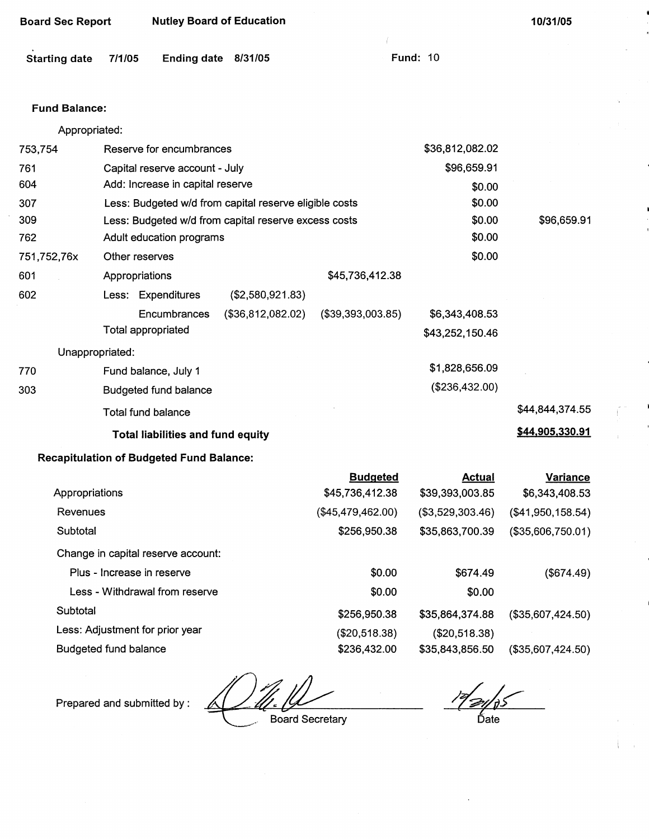| <b>Nutley Board of Education</b><br><b>Board Sec Report</b> |                           |                                                 | 10/31/05                                               |                   |                  |                   |
|-------------------------------------------------------------|---------------------------|-------------------------------------------------|--------------------------------------------------------|-------------------|------------------|-------------------|
| <b>Starting date</b>                                        | 7/1/05                    | <b>Ending date</b>                              | 8/31/05                                                |                   | <b>Fund: 10</b>  |                   |
| <b>Fund Balance:</b>                                        |                           |                                                 |                                                        |                   |                  |                   |
| Appropriated:                                               |                           |                                                 |                                                        |                   |                  |                   |
| 753,754                                                     |                           | Reserve for encumbrances                        |                                                        |                   | \$36,812,082.02  |                   |
| 761                                                         |                           | Capital reserve account - July                  |                                                        |                   | \$96,659.91      |                   |
| 604                                                         |                           | Add: Increase in capital reserve                |                                                        |                   | \$0.00           |                   |
| 307                                                         |                           |                                                 | Less: Budgeted w/d from capital reserve eligible costs |                   | \$0.00           |                   |
| 309                                                         |                           |                                                 | Less: Budgeted w/d from capital reserve excess costs   |                   | \$0.00           | \$96,659.91       |
| 762                                                         |                           | Adult education programs                        |                                                        |                   | \$0.00           |                   |
| 751,752,76x                                                 | Other reserves            |                                                 |                                                        |                   | \$0.00           |                   |
| 601                                                         | Appropriations            |                                                 |                                                        | \$45,736,412.38   |                  |                   |
| 602                                                         |                           | Less: Expenditures                              | (\$2,580,921.83)                                       |                   |                  |                   |
|                                                             |                           | Encumbrances                                    | (\$36,812,082.02)                                      | (\$39,393,003.85) | \$6,343,408.53   |                   |
|                                                             | <b>Total appropriated</b> |                                                 |                                                        |                   | \$43,252,150.46  |                   |
| Unappropriated:                                             |                           |                                                 |                                                        |                   |                  |                   |
| 770                                                         |                           | Fund balance, July 1                            |                                                        |                   | \$1,828,656.09   |                   |
| 303                                                         |                           | <b>Budgeted fund balance</b>                    |                                                        |                   | (\$236,432.00)   |                   |
|                                                             | Total fund balance        |                                                 |                                                        |                   |                  | \$44,844,374.55   |
|                                                             |                           | <b>Total liabilities and fund equity</b>        |                                                        |                   |                  | \$44,905,330.91   |
|                                                             |                           | <b>Recapitulation of Budgeted Fund Balance:</b> |                                                        |                   |                  |                   |
|                                                             |                           |                                                 |                                                        | <b>Budgeted</b>   | <b>Actual</b>    | <b>Variance</b>   |
| Appropriations                                              |                           |                                                 |                                                        | \$45,736,412.38   | \$39,393,003.85  | \$6,343,408.53    |
| Revenues                                                    |                           |                                                 |                                                        | (\$45,479,462.00) | (\$3,529,303.46) | (\$41,950,158.54) |
| Subtotal                                                    |                           |                                                 |                                                        | \$256,950.38      | \$35,863,700.39  | (\$35,606,750.01) |

Change in capital reserve account:

| Critaing in Capital reserve account. |               |                 |                   |
|--------------------------------------|---------------|-----------------|-------------------|
| Plus - Increase in reserve           | \$0.00        | \$674.49        | (\$674.49)        |
| Less - Withdrawal from reserve       | \$0.00        | \$0.00          |                   |
| Subtotal                             | \$256,950.38  | \$35,864,374.88 | (\$35,607,424.50) |
| Less: Adjustment for prior year      | (\$20,518.38) | (\$20,518.38)   |                   |
| Budgeted fund balance                | \$236,432.00  | \$35,843,856.50 | (\$35,607,424.50) |

Prepared and submitted by:

᠘ Board Secretary

 $\frac{1}{2}$  Date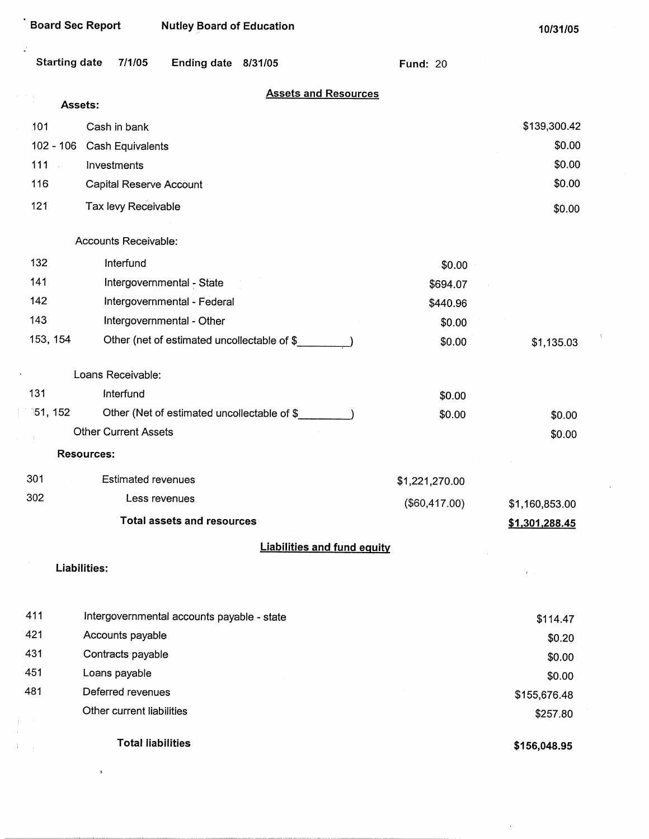| <b>Board Sec Report</b>    |                             | <b>Nutley Board of Education</b>            |                                             |                                    | 10/31/05       |
|----------------------------|-----------------------------|---------------------------------------------|---------------------------------------------|------------------------------------|----------------|
| <b>Starting date</b>       | 7/1/05                      | Ending date 8/31/05                         |                                             | <b>Fund: 20</b>                    |                |
| Assets:                    |                             |                                             | <b>Assets and Resources</b>                 |                                    |                |
| 101                        | Cash in bank                |                                             |                                             |                                    | \$139,300.42   |
| $102 - 106$                | Cash Equivalents            |                                             |                                             |                                    | \$0.00         |
| 111<br>$\hat{\mathcal{A}}$ | Investments                 |                                             |                                             |                                    | \$0.00         |
| 116                        | Capital Reserve Account     |                                             |                                             |                                    | \$0.00         |
| 121                        | Tax levy Receivable         |                                             |                                             |                                    | \$0.00         |
|                            | Accounts Receivable:        |                                             |                                             |                                    |                |
| 132                        | Interfund                   |                                             |                                             | \$0.00                             |                |
| 141                        |                             | Intergovernmental - State                   |                                             | \$694.07                           |                |
| 142                        |                             | Intergovernmental - Federal                 |                                             | \$440.96                           |                |
| 143                        |                             | Intergovernmental - Other                   |                                             | \$0.00                             |                |
| 153, 154                   |                             | Other (net of estimated uncollectable of \$ |                                             | \$0.00                             | \$1,135.03     |
|                            | Loans Receivable:           |                                             |                                             |                                    |                |
| 131                        | Interfund                   |                                             |                                             | \$0.00                             |                |
| 151, 152                   |                             |                                             | Other (Net of estimated uncollectable of \$ | \$0.00                             | \$0.00         |
|                            | <b>Other Current Assets</b> |                                             |                                             |                                    | \$0.00         |
|                            | <b>Resources:</b>           |                                             |                                             |                                    |                |
| 301                        | <b>Estimated revenues</b>   |                                             |                                             | \$1,221,270.00                     |                |
| 302                        |                             | Less revenues                               |                                             | (\$60,417.00)                      | \$1,160,853.00 |
|                            |                             | <b>Total assets and resources</b>           |                                             |                                    | \$1,301,288.45 |
|                            |                             |                                             |                                             | <b>Liabilities and fund equity</b> |                |
|                            | Liabilities:                |                                             |                                             |                                    |                |
|                            |                             |                                             |                                             |                                    |                |
| 411                        |                             | Intergovernmental accounts payable - state  |                                             |                                    | \$114.47       |
| 421                        | Accounts payable            |                                             |                                             |                                    | \$0.20         |
| 431                        | Contracts payable           |                                             |                                             |                                    | \$0.00         |
| 451                        | Loans payable               |                                             |                                             |                                    | \$0.00         |
| 481                        | Deferred revenues           |                                             |                                             |                                    | \$155,676.48   |
|                            | Other current liabilities   |                                             |                                             |                                    | \$257.80       |

**Total liabilities** 

x

Ť

 $\frac{1}{4}$ Ĵ.

**\$156,048.95** 

 $\bar{\chi}$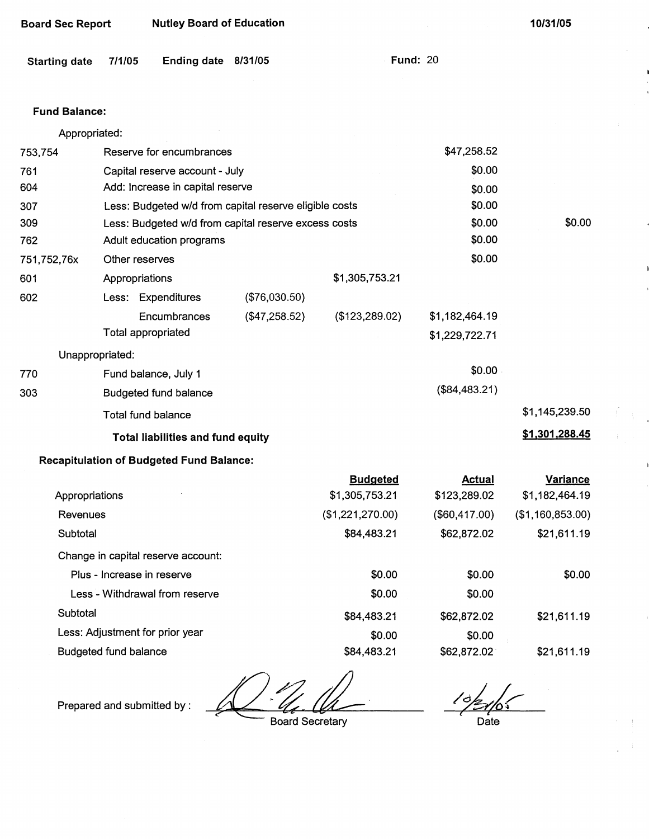| <b>Starting date</b> | 7/1/05                     | Ending date 8/31/05                             |                                                        |                  | <b>Fund: 20</b> |                  |
|----------------------|----------------------------|-------------------------------------------------|--------------------------------------------------------|------------------|-----------------|------------------|
| <b>Fund Balance:</b> |                            |                                                 |                                                        |                  |                 |                  |
| Appropriated:        |                            |                                                 |                                                        |                  |                 |                  |
| 753,754              |                            | Reserve for encumbrances                        |                                                        |                  | \$47,258.52     |                  |
| 761                  |                            | Capital reserve account - July                  |                                                        |                  | \$0.00          |                  |
| 604                  |                            | Add: Increase in capital reserve                |                                                        |                  | \$0.00          |                  |
| 307                  |                            |                                                 | Less: Budgeted w/d from capital reserve eligible costs |                  | \$0.00          |                  |
| 309                  |                            |                                                 | Less: Budgeted w/d from capital reserve excess costs   |                  | \$0.00          | \$0.00           |
| 762                  |                            | Adult education programs                        |                                                        |                  | \$0.00          |                  |
| 751,752,76x          | Other reserves             |                                                 |                                                        |                  | \$0.00          |                  |
| 601                  | Appropriations             |                                                 |                                                        | \$1,305,753.21   |                 |                  |
| 602                  | Less: Expenditures         |                                                 | (\$76,030.50)                                          |                  |                 |                  |
|                      |                            | Encumbrances                                    | (\$47,258.52)                                          | (\$123,289.02)   | \$1,182,464.19  |                  |
|                      | <b>Total appropriated</b>  |                                                 |                                                        |                  | \$1,229,722.71  |                  |
|                      | Unappropriated:            |                                                 |                                                        |                  |                 |                  |
| 770                  | Fund balance, July 1       |                                                 |                                                        |                  | \$0.00          |                  |
| 303                  |                            | <b>Budgeted fund balance</b>                    |                                                        |                  | (\$84,483.21)   |                  |
|                      | Total fund balance         |                                                 |                                                        |                  |                 | \$1,145,239.50   |
|                      |                            | <b>Total liabilities and fund equity</b>        |                                                        |                  |                 | \$1,301,288.45   |
|                      |                            | <b>Recapitulation of Budgeted Fund Balance:</b> |                                                        |                  |                 |                  |
|                      |                            |                                                 |                                                        | <b>Budgeted</b>  | <b>Actual</b>   | <b>Variance</b>  |
| Appropriations       |                            |                                                 |                                                        | \$1,305,753.21   | \$123,289.02    | \$1,182,464.19   |
| Revenues             |                            |                                                 |                                                        | (\$1,221,270.00) | $(\$60,417.00)$ | (\$1,160,853.00) |
| Subtotal             |                            |                                                 |                                                        | \$84,483.21      | \$62,872.02     | \$21,611.19      |
|                      |                            | Change in capital reserve account:              |                                                        |                  |                 |                  |
|                      | Plus - Increase in reserve |                                                 |                                                        | \$0.00           | \$0.00          | \$0.00           |
|                      |                            | Less - Withdrawal from reserve                  |                                                        | \$0.00           | \$0.00          |                  |

Subtotal

Less: Adjustment for prior year

Board Sec Report Nutley Board of Education

Budgeted fund balance

Prepared and submitted by :

Board Secretary

\$84,483.21

\$0.00 \$84,483.21

*( l*  Date

\$21,611.19

\$21,611.19

**10/31/05** 

\$62,872.02

\$0.00 \$62,872.02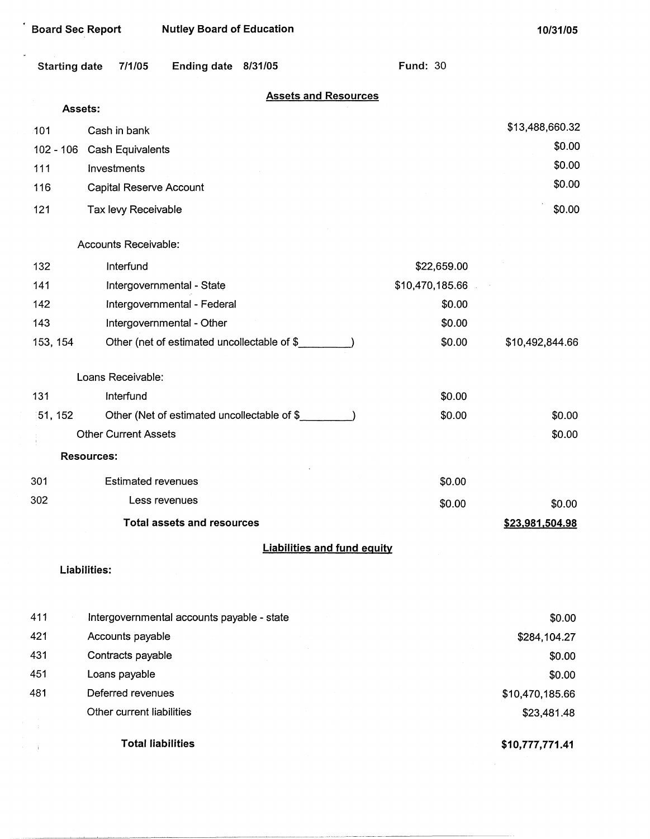| <b>Board Sec Report</b> | <b>Nutley Board of Education</b>            |                                    |                 | 10/31/05        |
|-------------------------|---------------------------------------------|------------------------------------|-----------------|-----------------|
| <b>Starting date</b>    | 7/1/05<br>Ending date 8/31/05               |                                    | <b>Fund: 30</b> |                 |
|                         | Assets:                                     | <b>Assets and Resources</b>        |                 |                 |
| 101                     | Cash in bank                                |                                    |                 | \$13,488,660.32 |
| $102 - 106$             | Cash Equivalents                            |                                    |                 | \$0.00          |
| 111                     | Investments                                 |                                    |                 | \$0.00          |
| 116                     | Capital Reserve Account                     |                                    |                 | \$0.00          |
| 121                     | Tax levy Receivable                         |                                    |                 | \$0.00          |
|                         | Accounts Receivable:                        |                                    |                 |                 |
| 132                     | Interfund                                   |                                    | \$22,659.00     |                 |
| 141                     | Intergovernmental - State                   |                                    | \$10,470,185.66 |                 |
| 142                     | Intergovernmental - Federal                 |                                    | \$0.00          |                 |
| 143                     | Intergovernmental - Other                   |                                    | \$0.00          |                 |
| 153, 154                | Other (net of estimated uncollectable of \$ |                                    | \$0.00          | \$10,492,844.66 |
|                         | Loans Receivable:                           |                                    |                 |                 |
| 131                     | Interfund                                   |                                    | \$0.00          |                 |
| 51, 152                 | Other (Net of estimated uncollectable of \$ |                                    | \$0.00          | \$0.00          |
|                         | <b>Other Current Assets</b>                 |                                    |                 | \$0.00          |
|                         | <b>Resources:</b>                           |                                    |                 |                 |
| 301                     | <b>Estimated revenues</b>                   |                                    | \$0.00          |                 |
| 302                     | Less revenues                               |                                    | \$0.00          | \$0.00          |
|                         | <b>Total assets and resources</b>           |                                    |                 | \$23,981,504.98 |
|                         |                                             | <b>Liabilities and fund equity</b> |                 |                 |
|                         | Liabilities:                                |                                    |                 |                 |
| 411                     | Intergovernmental accounts payable - state  |                                    |                 | \$0.00          |
| 421                     | Accounts payable                            |                                    |                 | \$284,104.27    |
| 431                     | Contracts payable                           |                                    |                 | \$0.00          |
| 451                     | Loans payable                               |                                    |                 | \$0.00          |
| 481                     | Deferred revenues                           |                                    |                 | \$10,470,185.66 |
|                         | Other current liabilities                   |                                    |                 | \$23,481.48     |
|                         | <b>Total liabilities</b>                    |                                    |                 | \$10,777,771.41 |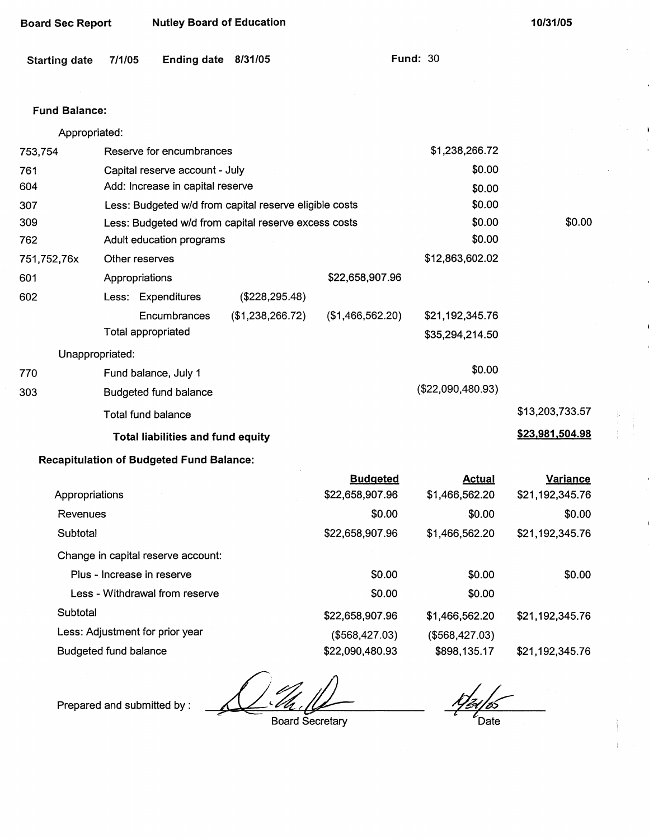| <b>Starting date</b> | 7/1/05                     | <b>Ending date</b>                              | 8/31/05                                                |                                    | <b>Fund: 30</b>                 |                                    |
|----------------------|----------------------------|-------------------------------------------------|--------------------------------------------------------|------------------------------------|---------------------------------|------------------------------------|
| <b>Fund Balance:</b> |                            |                                                 |                                                        |                                    |                                 |                                    |
| Appropriated:        |                            |                                                 |                                                        |                                    |                                 |                                    |
| 753,754              |                            | Reserve for encumbrances                        |                                                        |                                    | \$1,238,266.72                  |                                    |
| 761                  |                            | Capital reserve account - July                  |                                                        |                                    | \$0.00                          |                                    |
| 604                  |                            | Add: Increase in capital reserve                |                                                        |                                    | \$0.00                          |                                    |
| 307                  |                            |                                                 | Less: Budgeted w/d from capital reserve eligible costs |                                    | \$0.00                          |                                    |
| 309                  |                            |                                                 | Less: Budgeted w/d from capital reserve excess costs   |                                    | \$0.00                          | \$0.00                             |
| 762                  |                            | Adult education programs                        |                                                        |                                    | \$0.00                          |                                    |
| 751,752,76x          | Other reserves             |                                                 |                                                        |                                    | \$12,863,602.02                 |                                    |
| 601                  | Appropriations             |                                                 |                                                        | \$22,658,907.96                    |                                 |                                    |
| 602                  |                            | Less: Expenditures                              | $(\$228, 295.48)$                                      |                                    |                                 |                                    |
|                      |                            | Encumbrances                                    | (\$1,238,266.72)                                       | (\$1,466,562.20)                   | \$21,192,345.76                 |                                    |
|                      | <b>Total appropriated</b>  |                                                 |                                                        |                                    | \$35,294,214.50                 |                                    |
| Unappropriated:      |                            |                                                 |                                                        |                                    |                                 |                                    |
| 770                  |                            | Fund balance, July 1                            |                                                        |                                    | \$0.00                          |                                    |
| 303                  |                            | Budgeted fund balance                           |                                                        |                                    | (\$22,090,480.93)               |                                    |
|                      | Total fund balance         |                                                 |                                                        |                                    |                                 | \$13,203,733.57                    |
|                      |                            | <b>Total liabilities and fund equity</b>        |                                                        |                                    |                                 | \$23,981,504.98                    |
|                      |                            | <b>Recapitulation of Budgeted Fund Balance:</b> |                                                        |                                    |                                 |                                    |
| Appropriations       |                            |                                                 |                                                        | <b>Budgeted</b><br>\$22,658,907.96 | <u>Actual</u><br>\$1,466,562.20 | <b>Variance</b><br>\$21,192,345.76 |
| Revenues             |                            |                                                 |                                                        | \$0.00                             | \$0.00                          | \$0.00                             |
| Subtotal             |                            |                                                 |                                                        | \$22,658,907.96                    | \$1,466,562.20                  | \$21,192,345.76                    |
|                      |                            | Change in capital reserve account:              |                                                        |                                    |                                 |                                    |
|                      | Plus - Increase in reserve |                                                 |                                                        | \$0.00                             | \$0.00                          | \$0.00                             |
|                      |                            |                                                 |                                                        |                                    |                                 |                                    |

Less - Withdrawal from reserve **Subtotal** Less: Adjustment for prior year Budgeted fund balance \$0.00 \$22,658,907.96 (\$568,427.03) \$22,090,480.93 \$1,466,562.20 (\$568,427.03)

\$0.00 \$898, 135.17 \$21,192,345.76 \$21,192,345.76

Prepared and submitted by :

**Board Secretary** 

Date

**10/31/05** 

Board Sec Report Nutley Board of Education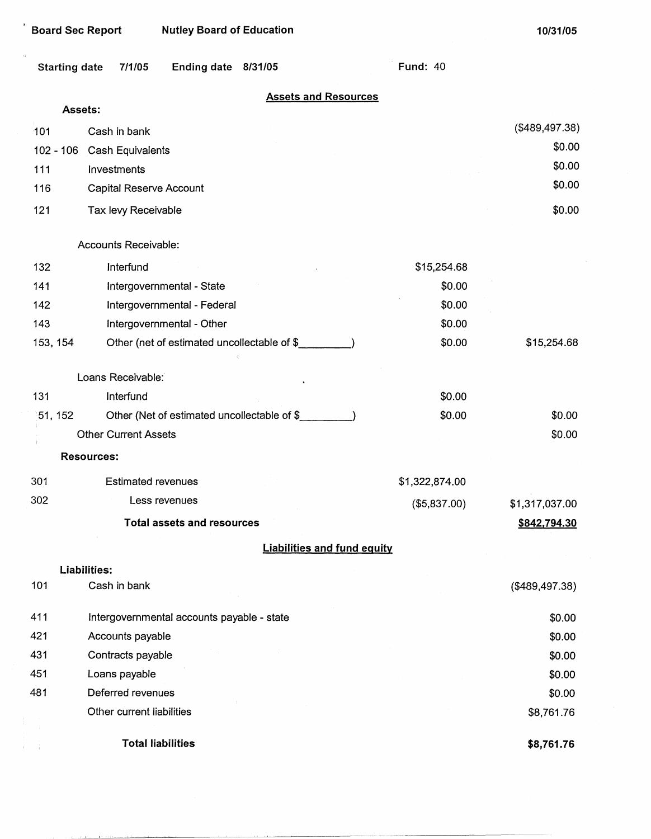| <b>Board Sec Report</b> |                             | <b>Nutley Board of Education</b>           |                                             |                                    |                 | 10/31/05       |
|-------------------------|-----------------------------|--------------------------------------------|---------------------------------------------|------------------------------------|-----------------|----------------|
| <b>Starting date</b>    | 7/1/05                      | Ending date 8/31/05                        |                                             |                                    | <b>Fund: 40</b> |                |
| Assets:                 |                             |                                            |                                             | <b>Assets and Resources</b>        |                 |                |
|                         |                             |                                            |                                             |                                    |                 | (\$489,497.38) |
| 101                     | Cash in bank                |                                            |                                             |                                    |                 | \$0.00         |
| $102 - 106$             | Cash Equivalents            |                                            |                                             |                                    |                 | \$0.00         |
| 111<br>116              | Investments                 |                                            |                                             |                                    |                 | \$0.00         |
|                         | Capital Reserve Account     |                                            |                                             |                                    |                 |                |
| 121                     | Tax levy Receivable         |                                            |                                             |                                    |                 | \$0.00         |
|                         | Accounts Receivable:        |                                            |                                             |                                    |                 |                |
| 132                     | Interfund                   |                                            |                                             |                                    | \$15,254.68     |                |
| 141                     |                             | Intergovernmental - State                  |                                             |                                    | \$0.00          |                |
| 142                     |                             | Intergovernmental - Federal                |                                             |                                    | \$0.00          |                |
| 143                     |                             | Intergovernmental - Other                  |                                             |                                    | \$0.00          |                |
| 153, 154                |                             |                                            | Other (net of estimated uncollectable of \$ |                                    | \$0.00          | \$15,254.68    |
|                         | Loans Receivable:           |                                            |                                             |                                    |                 |                |
| 131                     | Interfund                   |                                            |                                             |                                    | \$0.00          |                |
| 51, 152                 |                             |                                            | Other (Net of estimated uncollectable of \$ |                                    | \$0.00          | \$0.00         |
|                         | <b>Other Current Assets</b> |                                            |                                             |                                    |                 | \$0.00         |
|                         | <b>Resources:</b>           |                                            |                                             |                                    |                 |                |
| 301                     | <b>Estimated revenues</b>   |                                            |                                             |                                    | \$1,322,874.00  |                |
| 302                     |                             | Less revenues                              |                                             |                                    | (\$5,837.00)    | \$1,317,037.00 |
|                         |                             | <b>Total assets and resources</b>          |                                             |                                    |                 | \$842,794.30   |
|                         |                             |                                            |                                             | <b>Liabilities and fund equity</b> |                 |                |
|                         | Liabilities:                |                                            |                                             |                                    |                 |                |
| 101                     | Cash in bank                |                                            |                                             |                                    |                 | (\$489,497.38) |
| 411                     |                             | Intergovernmental accounts payable - state |                                             |                                    |                 | \$0.00         |
| 421                     | Accounts payable            |                                            |                                             |                                    |                 | \$0.00         |
| 431                     | Contracts payable           |                                            |                                             |                                    |                 | \$0.00         |
| 451                     | Loans payable               |                                            |                                             |                                    |                 | \$0.00         |
| 481                     | Deferred revenues           |                                            |                                             |                                    |                 | \$0.00         |
|                         | Other current liabilities   |                                            |                                             |                                    |                 | \$8,761.76     |
|                         |                             | <b>Total liabilities</b>                   |                                             |                                    |                 | \$8,761.76     |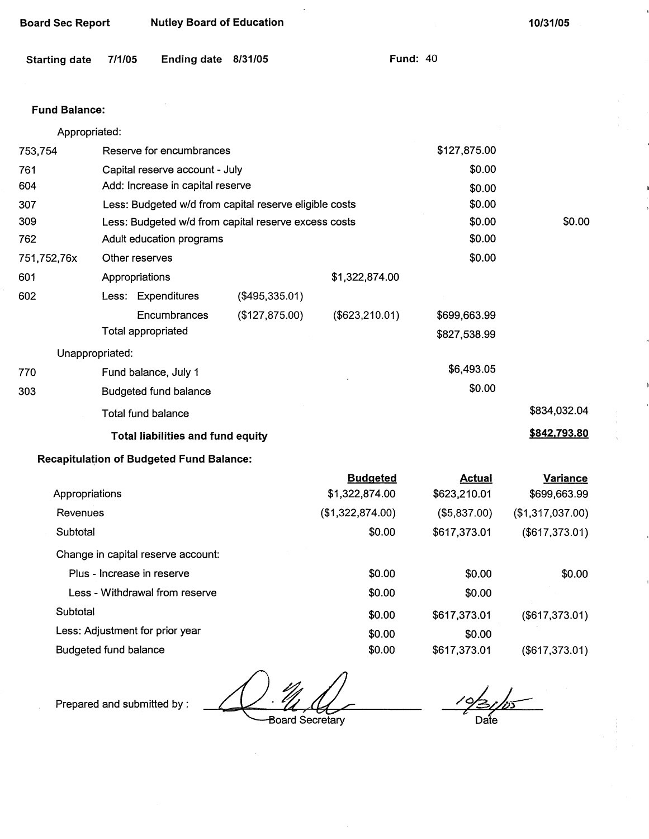| <b>Board Sec Report</b> |                                                                | <b>Nutley Board of Education</b>                |                                                        |                  |                 | 10/31/05         |
|-------------------------|----------------------------------------------------------------|-------------------------------------------------|--------------------------------------------------------|------------------|-----------------|------------------|
| <b>Starting date</b>    | 7/1/05                                                         | Ending date 8/31/05                             |                                                        |                  | <b>Fund: 40</b> |                  |
| <b>Fund Balance:</b>    |                                                                |                                                 |                                                        |                  |                 |                  |
| Appropriated:           |                                                                |                                                 |                                                        |                  |                 |                  |
| 753,754                 |                                                                | Reserve for encumbrances                        |                                                        |                  | \$127,875.00    |                  |
| 761                     |                                                                | Capital reserve account - July                  |                                                        |                  | \$0.00          |                  |
| 604                     |                                                                | Add: Increase in capital reserve                |                                                        |                  | \$0.00          |                  |
| 307                     |                                                                |                                                 | Less: Budgeted w/d from capital reserve eligible costs |                  | \$0.00          |                  |
| 309                     | \$0.00<br>Less: Budgeted w/d from capital reserve excess costs |                                                 |                                                        |                  |                 | \$0.00           |
| 762                     |                                                                | Adult education programs                        |                                                        |                  | \$0.00          |                  |
| 751,752,76x             | Other reserves                                                 |                                                 |                                                        |                  | \$0.00          |                  |
| 601                     | Appropriations                                                 |                                                 |                                                        | \$1,322,874.00   |                 |                  |
| 602                     |                                                                | Less: Expenditures                              | (\$495,335.01)                                         |                  |                 |                  |
|                         |                                                                | Encumbrances                                    | (\$127,875.00)                                         | (\$623, 210.01)  | \$699,663.99    |                  |
|                         | Total appropriated                                             |                                                 |                                                        |                  | \$827,538.99    |                  |
| Unappropriated:         |                                                                |                                                 |                                                        |                  |                 |                  |
| 770                     |                                                                | Fund balance, July 1                            |                                                        |                  | \$6,493.05      |                  |
| 303                     |                                                                | <b>Budgeted fund balance</b>                    |                                                        |                  | \$0.00          |                  |
|                         | Total fund balance                                             |                                                 |                                                        |                  |                 | \$834,032.04     |
|                         |                                                                | <b>Total liabilities and fund equity</b>        |                                                        |                  |                 | \$842,793.80     |
|                         |                                                                | <b>Recapitulation of Budgeted Fund Balance:</b> |                                                        |                  |                 |                  |
|                         |                                                                |                                                 |                                                        | <b>Budgeted</b>  | <b>Actual</b>   | <b>Variance</b>  |
| Appropriations          |                                                                |                                                 |                                                        | \$1,322,874.00   | \$623,210.01    | \$699,663.99     |
| Revenues                |                                                                |                                                 |                                                        | (\$1,322,874.00) | (\$5,837.00)    | (\$1,317,037.00) |

| Subtotal                           | \$0.00 | \$617,373.01 | (\$617,373.01) |
|------------------------------------|--------|--------------|----------------|
| Change in capital reserve account: |        |              |                |
| Plus - Increase in reserve         | \$0.00 | \$0.00       | \$0.00         |
| Less - Withdrawal from reserve     | \$0.00 | \$0.00       |                |
| Subtotal                           | \$0.00 | \$617,373.01 | (\$617,373.01) |
| Less: Adjustment for prior year    | \$0.00 | \$0.00       |                |
| Budgeted fund balance              | \$0.00 | \$617,373.01 | (\$617,373.01) |

Board Secretary

Prepared and submitted by :

 $\frac{102}{105}$ Date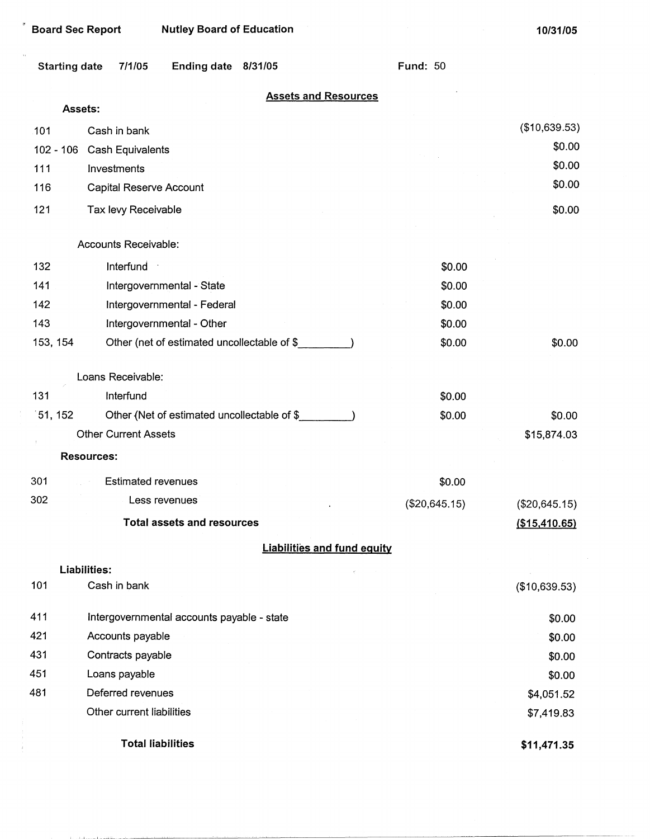| <b>Nutley Board of Education</b><br><b>Board Sec Report</b> |                             |                                             |                             |                                    | 10/31/05        |               |
|-------------------------------------------------------------|-----------------------------|---------------------------------------------|-----------------------------|------------------------------------|-----------------|---------------|
| <b>Starting date</b>                                        | 7/1/05                      | Ending date 8/31/05                         |                             |                                    | <b>Fund: 50</b> |               |
|                                                             | Assets:                     |                                             | <b>Assets and Resources</b> |                                    |                 |               |
| 101                                                         | Cash in bank                |                                             |                             |                                    |                 | (\$10,639.53) |
| $102 - 106$                                                 | Cash Equivalents            |                                             |                             |                                    |                 | \$0.00        |
| 111                                                         | Investments                 |                                             |                             |                                    |                 | \$0.00        |
| 116                                                         | Capital Reserve Account     |                                             |                             |                                    |                 | \$0.00        |
| 121                                                         |                             |                                             |                             |                                    |                 | \$0.00        |
|                                                             | Tax levy Receivable         |                                             |                             |                                    |                 |               |
|                                                             | Accounts Receivable:        |                                             |                             |                                    |                 |               |
| 132                                                         | Interfund                   |                                             |                             |                                    | \$0.00          |               |
| 141                                                         |                             | Intergovernmental - State                   |                             |                                    | \$0.00          |               |
| 142                                                         |                             | Intergovernmental - Federal                 |                             |                                    | \$0.00          |               |
| 143                                                         |                             | Intergovernmental - Other                   |                             |                                    | \$0.00          |               |
| 153, 154                                                    |                             | Other (net of estimated uncollectable of \$ |                             |                                    | \$0.00          | \$0.00        |
|                                                             | Loans Receivable:           |                                             |                             |                                    |                 |               |
| 131                                                         | Interfund                   |                                             |                             |                                    | \$0.00          |               |
| 51, 152                                                     |                             | Other (Net of estimated uncollectable of \$ |                             |                                    | \$0.00          | \$0.00        |
|                                                             | <b>Other Current Assets</b> |                                             |                             |                                    |                 | \$15,874.03   |
|                                                             | <b>Resources:</b>           |                                             |                             |                                    |                 |               |
| 301                                                         | <b>Estimated revenues</b>   |                                             |                             |                                    | \$0.00          |               |
| 302                                                         |                             | Less revenues                               |                             |                                    | (\$20,645.15)   | (\$20,645.15) |
|                                                             |                             | <b>Total assets and resources</b>           |                             |                                    |                 | (\$15,410.65) |
|                                                             |                             |                                             |                             | <b>Liabilities and fund equity</b> |                 |               |
|                                                             | Liabilities:                |                                             |                             |                                    |                 |               |
| 101                                                         | Cash in bank                |                                             |                             |                                    |                 | (\$10,639.53) |
| 411                                                         |                             | Intergovernmental accounts payable - state  |                             |                                    |                 | \$0.00        |
| 421                                                         | Accounts payable            |                                             |                             |                                    |                 | \$0.00        |
| 431                                                         | Contracts payable           |                                             |                             |                                    |                 | \$0.00        |
| 451                                                         | Loans payable               |                                             |                             |                                    |                 | \$0.00        |
| 481                                                         | Deferred revenues           |                                             |                             |                                    |                 | \$4,051.52    |
|                                                             | Other current liabilities   |                                             |                             |                                    |                 | \$7,419.83    |
|                                                             |                             | <b>Total liabilities</b>                    |                             |                                    |                 | \$11,471.35   |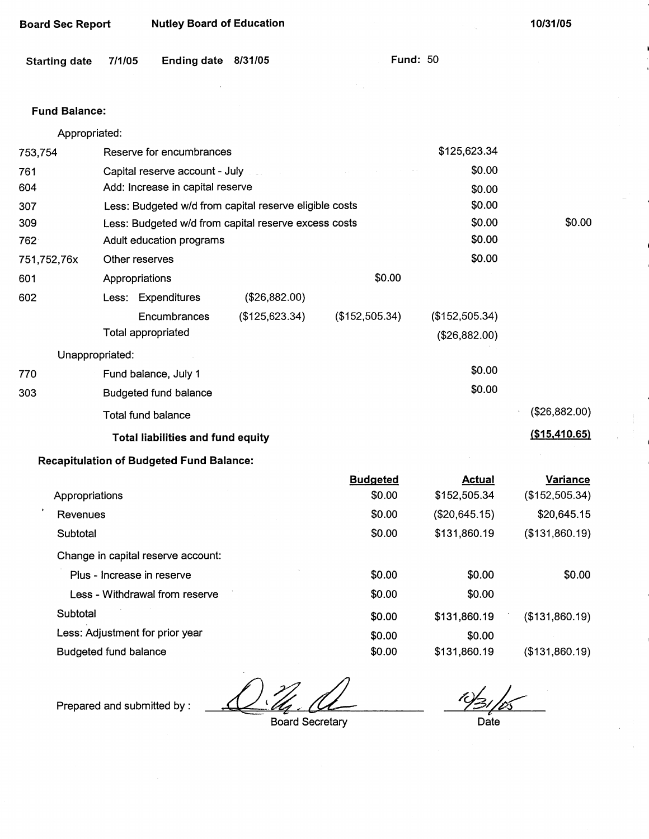| Board Sec Report | <b>Nutley Board of Education</b> |
|------------------|----------------------------------|
|------------------|----------------------------------|

**10/31/05** 

| <b>Starting date</b> | 7/1/05 | Ending date 8/31/05 |  |  |
|----------------------|--------|---------------------|--|--|
|----------------------|--------|---------------------|--|--|

Fund: 50

 $\hat{\boldsymbol{\epsilon}}$ 

## Fund **Balance:**

| Appropriated:  |                                                        |                                |                 |                |                 |
|----------------|--------------------------------------------------------|--------------------------------|-----------------|----------------|-----------------|
| 753,754        | Reserve for encumbrances                               |                                | \$125,623.34    |                |                 |
| 761            |                                                        | Capital reserve account - July |                 | \$0.00         |                 |
| 604            | Add: Increase in capital reserve                       |                                |                 | \$0.00         |                 |
| 307            | Less: Budgeted w/d from capital reserve eligible costs |                                |                 | \$0.00         |                 |
| 309            | Less: Budgeted w/d from capital reserve excess costs   |                                |                 | \$0.00         | \$0.00          |
| 762            | Adult education programs                               |                                |                 | \$0.00         |                 |
| 751,752,76x    | Other reserves                                         |                                |                 | \$0.00         |                 |
| 601            | Appropriations                                         |                                | \$0.00          |                |                 |
| 602            | Less: Expenditures                                     | (\$26,882.00)                  |                 |                |                 |
|                | Encumbrances                                           | (\$125,623.34)                 | (\$152,505.34)  | (\$152,505.34) |                 |
|                | Total appropriated                                     |                                |                 | (\$26,882.00)  |                 |
|                | Unappropriated:                                        |                                |                 |                |                 |
| 770            | Fund balance, July 1                                   |                                |                 | \$0.00         |                 |
| 303            | <b>Budgeted fund balance</b>                           |                                |                 | \$0.00         |                 |
|                | Total fund balance                                     |                                |                 |                | (\$26,882.00)   |
|                | <b>Total liabilities and fund equity</b>               |                                |                 |                | (\$15,410.65)   |
|                | <b>Recapitulation of Budgeted Fund Balance:</b>        |                                |                 |                |                 |
|                |                                                        |                                | <b>Budgeted</b> | <b>Actual</b>  | <b>Variance</b> |
| Appropriations |                                                        |                                | \$0.00          | \$152,505.34   | (\$152,505.34)  |
| Revenues       |                                                        |                                | \$0.00          | (\$20,645.15)  | \$20,645.15     |
| Subtotal       |                                                        |                                | \$0.00          | \$131,860.19   | (\$131,860.19)  |
|                | Change in capital reserve account:                     |                                |                 |                |                 |
|                | Plus - Increase in reserve                             |                                | \$0.00          | \$0.00         | \$0.00          |
|                | Less - Withdrawal from reserve                         |                                | \$0.00          | \$0.00         |                 |
| Subtotal       |                                                        |                                | \$0.00          | \$131,860.19   | (\$131,860.19)  |
|                | Less: Adjustment for prior year                        |                                | \$0.00          | \$0.00         |                 |
|                | <b>Budgeted fund balance</b>                           |                                | \$0.00          | \$131,860.19   | (\$131,860.19)  |

 $\frac{M}{\frac{M}{\frac{M}{\sqrt{M}}}}$  Board Secretary  $\blacktriangle$ 

Prepared and submitted by :

10/31 Date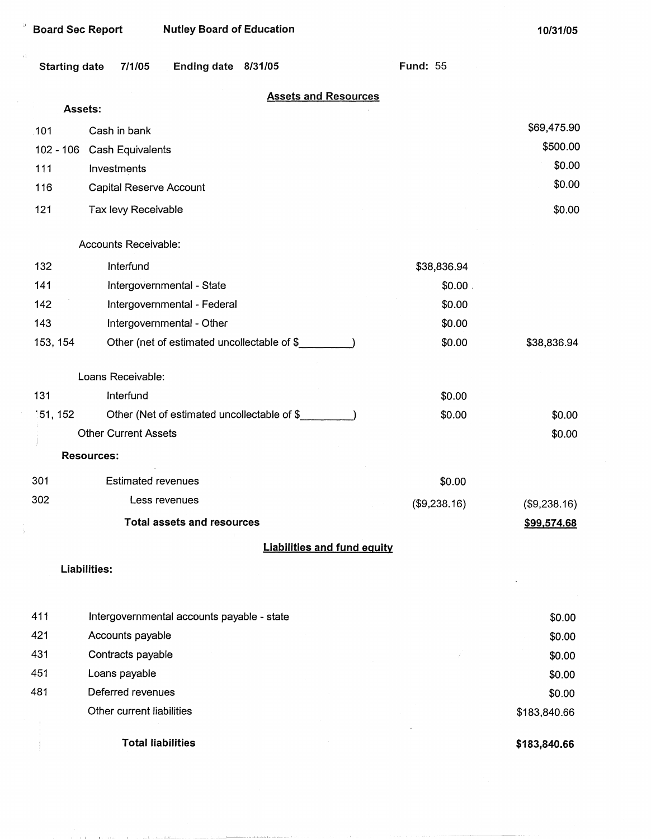| <b>Board Sec Report</b>                                         | <b>Nutley Board of Education</b>            |                             |                                    |                 | 10/31/05     |
|-----------------------------------------------------------------|---------------------------------------------|-----------------------------|------------------------------------|-----------------|--------------|
| $\left\langle i\right\rangle$<br><b>Starting date</b><br>7/1/05 | <b>Ending date</b>                          | 8/31/05                     |                                    | <b>Fund: 55</b> |              |
|                                                                 |                                             | <b>Assets and Resources</b> |                                    |                 |              |
| Assets:                                                         |                                             |                             |                                    |                 |              |
| Cash in bank<br>101                                             |                                             |                             |                                    |                 | \$69,475.90  |
| 102 - 106<br>Cash Equivalents                                   |                                             |                             |                                    |                 | \$500.00     |
| 111<br>Investments                                              |                                             |                             |                                    |                 | \$0.00       |
| 116<br>Capital Reserve Account                                  |                                             |                             |                                    |                 | \$0.00       |
| 121<br>Tax levy Receivable                                      |                                             |                             |                                    |                 | \$0.00       |
| Accounts Receivable:                                            |                                             |                             |                                    |                 |              |
| 132<br>Interfund                                                |                                             |                             |                                    | \$38,836.94     |              |
| 141                                                             | Intergovernmental - State                   |                             |                                    |                 |              |
| 142<br>Intergovernmental - Federal                              |                                             |                             |                                    | \$0.00          |              |
| 143                                                             | Intergovernmental - Other                   |                             | \$0.00                             |                 |              |
| 153, 154                                                        | Other (net of estimated uncollectable of \$ |                             |                                    | \$0.00          | \$38,836.94  |
| Loans Receivable:                                               |                                             |                             |                                    |                 |              |
| 131<br>Interfund                                                |                                             |                             |                                    | \$0.00          |              |
| 151, 152                                                        | Other (Net of estimated uncollectable of \$ |                             |                                    | \$0.00          | \$0.00       |
| <b>Other Current Assets</b>                                     |                                             |                             |                                    |                 | \$0.00       |
| <b>Resources:</b>                                               |                                             |                             |                                    |                 |              |
| 301<br><b>Estimated revenues</b>                                |                                             |                             |                                    | \$0.00          |              |
| 302                                                             | Less revenues<br>(\$9,238.16)               |                             |                                    |                 | (\$9,238.16) |
|                                                                 | <b>Total assets and resources</b>           |                             |                                    |                 | \$99,574.68  |
|                                                                 |                                             |                             | <b>Liabilities and fund equity</b> |                 |              |
| Liabilities:                                                    |                                             |                             |                                    |                 |              |
| 411                                                             | Intergovernmental accounts payable - state  |                             |                                    |                 | \$0.00       |
| 421<br>Accounts payable                                         |                                             |                             |                                    |                 | \$0.00       |
| 431<br>Contracts payable                                        |                                             |                             |                                    |                 | \$0.00       |
| 451<br>Loans payable                                            |                                             |                             |                                    |                 | \$0.00       |
| 481<br>Deferred revenues                                        |                                             |                             | \$0.00                             |                 |              |

Other current liabilities

 $\frac{1}{2}$  $\mathbf{j}$ 

 $\bar{\partial}$ 

**Total liabilities** 

**\$183,840.66** 

 $\sim 10$ 

\$183,840.66